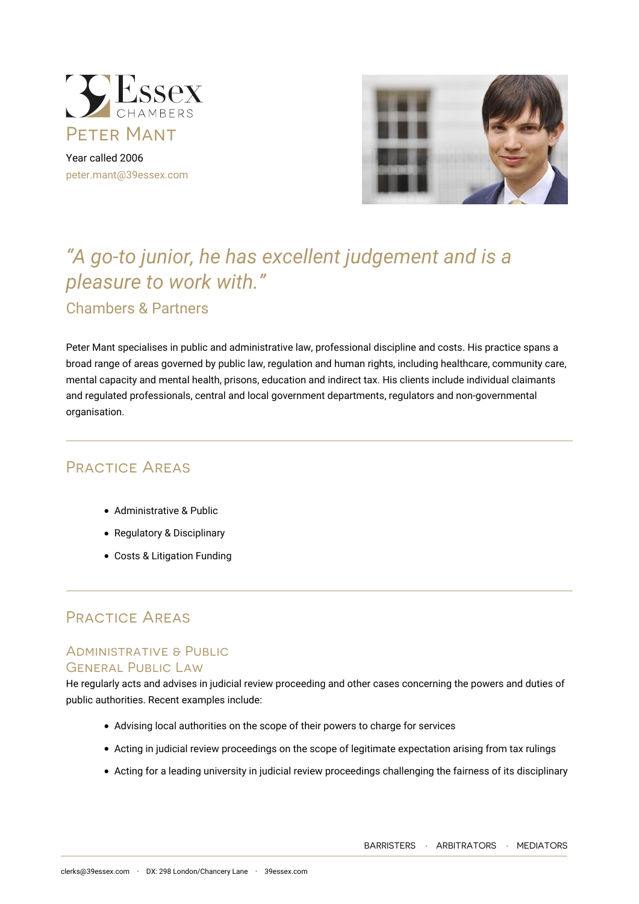

Year called 2006 [peter.mant@39essex.com](mailto:peter.mant@39essex.com)



# *"A go-to junior, he has excellent judgement and is a pleasure to work with."* Chambers & Partners

Peter Mant specialises in public and administrative law, professional discipline and costs. His practice spans a broad range of areas governed by public law, regulation and human rights, including healthcare, community care, mental capacity and mental health, prisons, education and indirect tax. His clients include individual claimants and regulated professionals, central and local government departments, regulators and non-governmental organisation.

# Practice Areas

- Administrative & Public
- Regulatory & Disciplinary
- Costs & Litigation Funding

# Practice Areas

### Administrative & Public General Public Law

He regularly acts and advises in judicial review proceeding and other cases concerning the powers and duties of public authorities. Recent examples include:

- Advising local authorities on the scope of their powers to charge for services
- Acting in judicial review proceedings on the scope of legitimate expectation arising from tax rulings
- Acting for a leading university in judicial review proceedings challenging the fairness of its disciplinary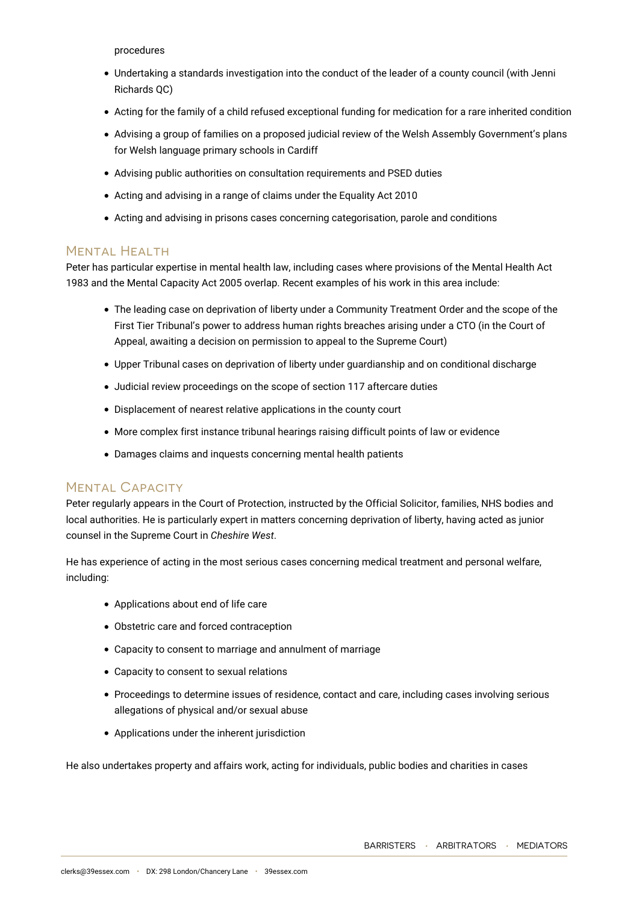procedures

- Undertaking a standards investigation into the conduct of the leader of a county council (with Jenni Richards QC)
- Acting for the family of a child refused exceptional funding for medication for a rare inherited condition
- Advising a group of families on a proposed judicial review of the Welsh Assembly Government's plans for Welsh language primary schools in Cardiff
- Advising public authorities on consultation requirements and PSED duties
- Acting and advising in a range of claims under the Equality Act 2010
- Acting and advising in prisons cases concerning categorisation, parole and conditions

### Mental Health

Peter has particular expertise in mental health law, including cases where provisions of the Mental Health Act 1983 and the Mental Capacity Act 2005 overlap. Recent examples of his work in this area include:

- The leading case on deprivation of liberty under a Community Treatment Order and the scope of the First Tier Tribunal's power to address human rights breaches arising under a CTO (in the Court of Appeal, awaiting a decision on permission to appeal to the Supreme Court)
- Upper Tribunal cases on deprivation of liberty under guardianship and on conditional discharge
- Judicial review proceedings on the scope of section 117 aftercare duties
- Displacement of nearest relative applications in the county court
- More complex first instance tribunal hearings raising difficult points of law or evidence
- Damages claims and inquests concerning mental health patients

# Mental Capacity

Peter regularly appears in the Court of Protection, instructed by the Official Solicitor, families, NHS bodies and local authorities. He is particularly expert in matters concerning deprivation of liberty, having acted as junior counsel in the Supreme Court in *Cheshire West*.

He has experience of acting in the most serious cases concerning medical treatment and personal welfare, including:

- Applications about end of life care
- Obstetric care and forced contraception
- Capacity to consent to marriage and annulment of marriage
- Capacity to consent to sexual relations
- Proceedings to determine issues of residence, contact and care, including cases involving serious allegations of physical and/or sexual abuse
- Applications under the inherent jurisdiction

He also undertakes property and affairs work, acting for individuals, public bodies and charities in cases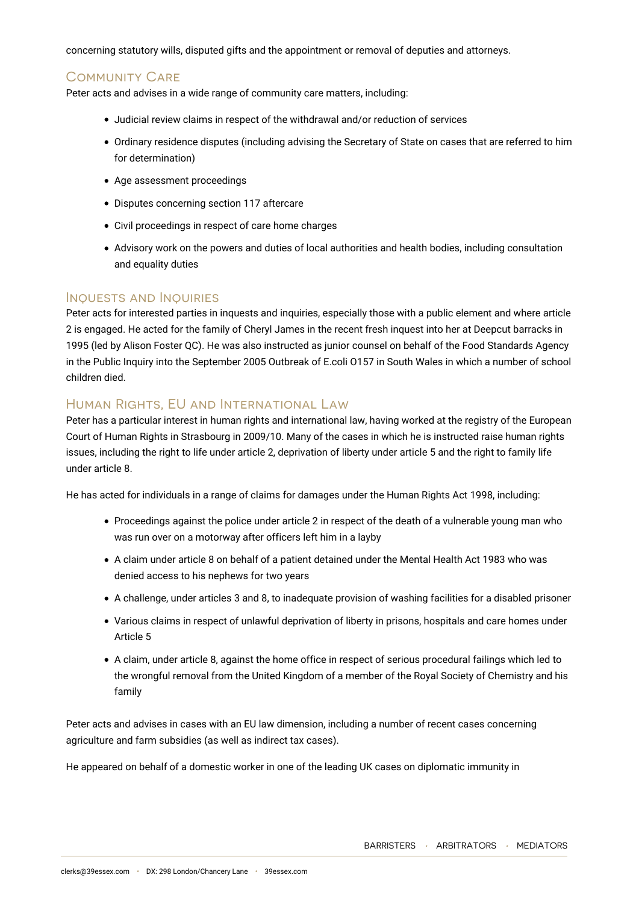concerning statutory wills, disputed gifts and the appointment or removal of deputies and attorneys.

# Community Care

Peter acts and advises in a wide range of community care matters, including:

- Judicial review claims in respect of the withdrawal and/or reduction of services
- Ordinary residence disputes (including advising the Secretary of State on cases that are referred to him for determination)
- Age assessment proceedings
- Disputes concerning section 117 aftercare
- Civil proceedings in respect of care home charges
- Advisory work on the powers and duties of local authorities and health bodies, including consultation and equality duties

#### Inquests and Inquiries

Peter acts for interested parties in inquests and inquiries, especially those with a public element and where article 2 is engaged. He acted for the family of Cheryl James in the recent fresh inquest into her at Deepcut barracks in 1995 (led by Alison Foster QC). He was also instructed as junior counsel on behalf of the Food Standards Agency in the Public Inquiry into the September 2005 Outbreak of E.coli O157 in South Wales in which a number of school children died.

# Human Rights, EU and International Law

Peter has a particular interest in human rights and international law, having worked at the registry of the European Court of Human Rights in Strasbourg in 2009/10. Many of the cases in which he is instructed raise human rights issues, including the right to life under article 2, deprivation of liberty under article 5 and the right to family life under article 8.

He has acted for individuals in a range of claims for damages under the Human Rights Act 1998, including:

- Proceedings against the police under article 2 in respect of the death of a vulnerable young man who was run over on a motorway after officers left him in a layby
- A claim under article 8 on behalf of a patient detained under the Mental Health Act 1983 who was denied access to his nephews for two years
- A challenge, under articles 3 and 8, to inadequate provision of washing facilities for a disabled prisoner
- Various claims in respect of unlawful deprivation of liberty in prisons, hospitals and care homes under Article 5
- A claim, under article 8, against the home office in respect of serious procedural failings which led to the wrongful removal from the United Kingdom of a member of the Royal Society of Chemistry and his family

Peter acts and advises in cases with an EU law dimension, including a number of recent cases concerning agriculture and farm subsidies (as well as indirect tax cases).

He appeared on behalf of a domestic worker in one of the leading UK cases on diplomatic immunity in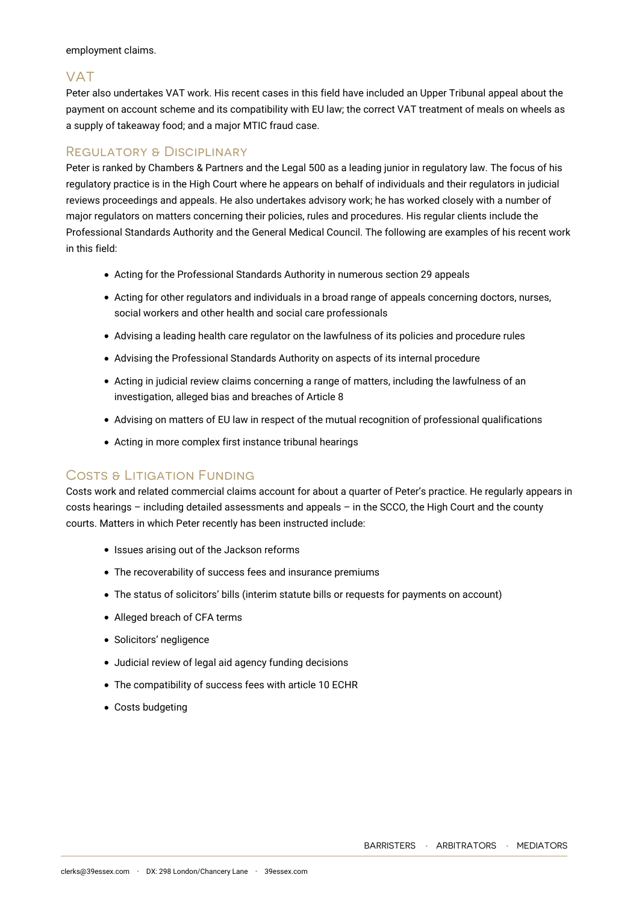employment claims.

# VAT

Peter also undertakes VAT work. His recent cases in this field have included an Upper Tribunal appeal about the payment on account scheme and its compatibility with EU law; the correct VAT treatment of meals on wheels as a supply of takeaway food; and a major MTIC fraud case.

### Regulatory & Disciplinary

Peter is ranked by Chambers & Partners and the Legal 500 as a leading junior in regulatory law. The focus of his regulatory practice is in the High Court where he appears on behalf of individuals and their regulators in judicial reviews proceedings and appeals. He also undertakes advisory work; he has worked closely with a number of major regulators on matters concerning their policies, rules and procedures. His regular clients include the Professional Standards Authority and the General Medical Council. The following are examples of his recent work in this field:

- Acting for the Professional Standards Authority in numerous section 29 appeals
- Acting for other regulators and individuals in a broad range of appeals concerning doctors, nurses, social workers and other health and social care professionals
- Advising a leading health care regulator on the lawfulness of its policies and procedure rules
- Advising the Professional Standards Authority on aspects of its internal procedure
- Acting in judicial review claims concerning a range of matters, including the lawfulness of an investigation, alleged bias and breaches of Article 8
- Advising on matters of EU law in respect of the mutual recognition of professional qualifications
- Acting in more complex first instance tribunal hearings

### COSTS & LITIGATION FUNDING

Costs work and related commercial claims account for about a quarter of Peter's practice. He regularly appears in costs hearings – including detailed assessments and appeals – in the SCCO, the High Court and the county courts. Matters in which Peter recently has been instructed include:

- Issues arising out of the Jackson reforms
- The recoverability of success fees and insurance premiums
- The status of solicitors' bills (interim statute bills or requests for payments on account)
- Alleged breach of CFA terms
- Solicitors' negligence
- Judicial review of legal aid agency funding decisions
- The compatibility of success fees with article 10 ECHR
- Costs budgeting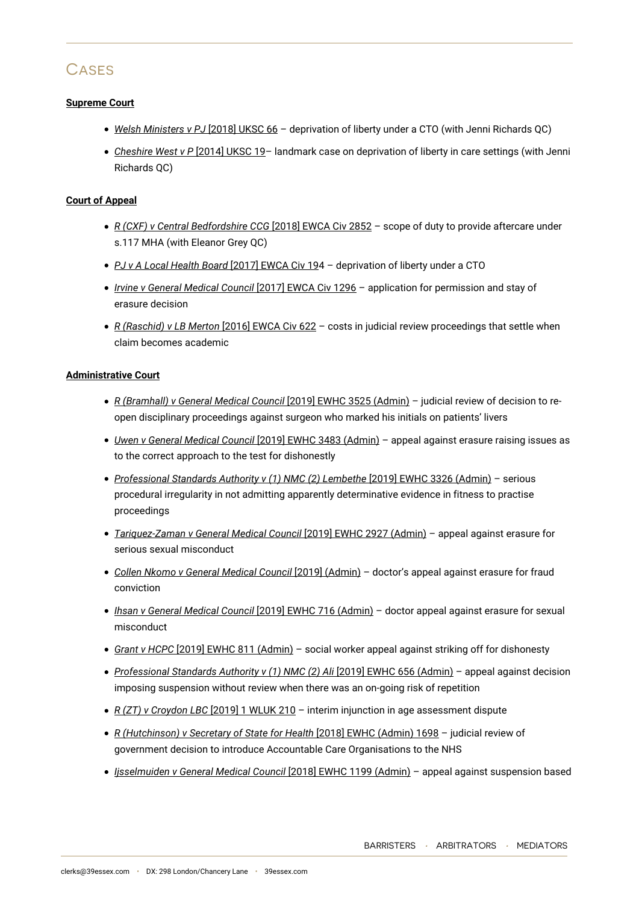# **CASES**

#### **Supreme Court**

- *Welsh Ministers v PJ* [2018] UKSC 66 deprivation of liberty under a CTO (with Jenni Richards QC)
- *Cheshire West v P* [2014] UKSC 19– landmark case on deprivation of liberty in care settings (with Jenni Richards QC)

#### **Court of Appeal**

- *R (CXF) v Central Bedfordshire CCG* [2018] EWCA Civ 2852 scope of duty to provide aftercare under s.117 MHA (with Eleanor Grey QC)
- *PJ v A Local Health Board* [2017] EWCA Civ 194 deprivation of liberty under a CTO
- *Irvine v General Medical Council* [2017] EWCA Civ 1296 application for permission and stay of erasure decision
- *R (Raschid) v LB Merton* [2016] EWCA Civ 622 costs in judicial review proceedings that settle when claim becomes academic

#### **Administrative Court**

- *R (Bramhall) v General Medical Council* [2019] EWHC 3525 (Admin) judicial review of decision to reopen disciplinary proceedings against surgeon who marked his initials on patients' livers
- *Uwen v General Medical Council* [2019] EWHC 3483 (Admin) appeal against erasure raising issues as to the correct approach to the test for dishonestly
- *Professional Standards Authority v (1) NMC (2) Lembethe* [2019] EWHC 3326 (Admin) serious procedural irregularity in not admitting apparently determinative evidence in fitness to practise proceedings
- *Tariquez-Zaman v General Medical Council* [2019] EWHC 2927 (Admin) appeal against erasure for serious sexual misconduct
- *Collen Nkomo v General Medical Council* [2019] (Admin) doctor's appeal against erasure for fraud conviction
- *Ihsan v General Medical Council* [2019] EWHC 716 (Admin) doctor appeal against erasure for sexual misconduct
- *Grant v HCPC* [2019] EWHC 811 (Admin) social worker appeal against striking off for dishonesty
- *Professional Standards Authority v (1) NMC (2) Ali* [2019] EWHC 656 (Admin) appeal against decision imposing suspension without review when there was an on-going risk of repetition
- *R (ZT) v Croydon LBC* [2019] 1 WLUK 210 interim injunction in age assessment dispute
- *R (Hutchinson) v Secretary of State for Health* [2018] EWHC (Admin) 1698 judicial review of government decision to introduce Accountable Care Organisations to the NHS
- *Ijsselmuiden v General Medical Council* [2018] EWHC 1199 (Admin) appeal against suspension based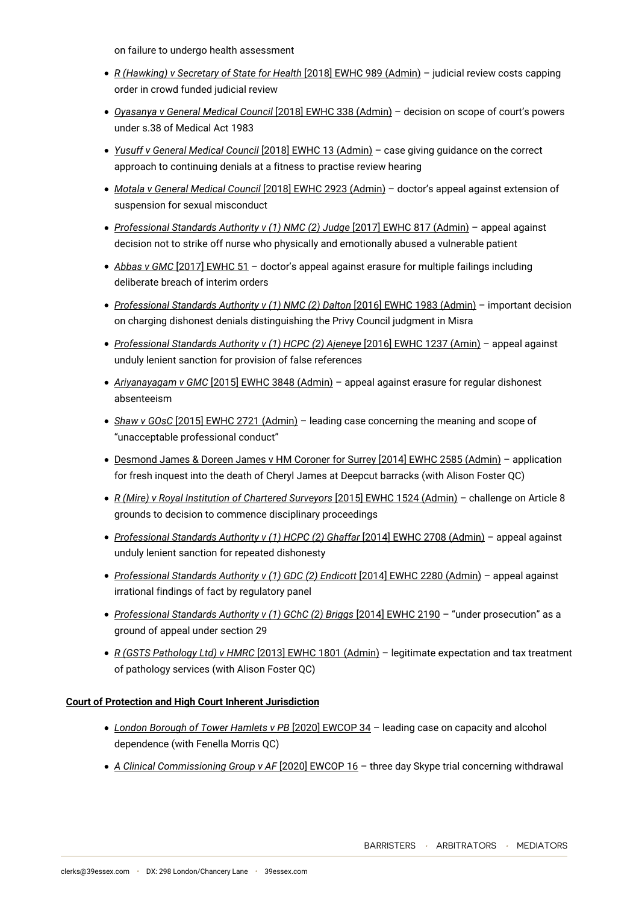on failure to undergo health assessment

- *R (Hawking) v Secretary of State for Health* [2018] EWHC 989 (Admin) judicial review costs capping order in crowd funded judicial review
- *Oyasanya v General Medical Council* [2018] EWHC 338 (Admin) decision on scope of court's powers under s.38 of Medical Act 1983
- *Yusuff v General Medical Council* [2018] EWHC 13 (Admin) case giving guidance on the correct approach to continuing denials at a fitness to practise review hearing
- *Motala v General Medical Council* [2018] EWHC 2923 (Admin) doctor's appeal against extension of suspension for sexual misconduct
- *Professional Standards Authority v (1) NMC (2) Judge* [2017] EWHC 817 (Admin) appeal against decision not to strike off nurse who physically and emotionally abused a vulnerable patient
- *Abbas v GMC* [2017] EWHC 51 doctor's appeal against erasure for multiple failings including deliberate breach of interim orders
- *Professional Standards Authority v (1) NMC (2) Dalton* [2016] EWHC 1983 (Admin) important decision on charging dishonest denials distinguishing the Privy Council judgment in Misra
- *Professional Standards Authority v (1) HCPC (2) Ajeneye* [2016] EWHC 1237 (Amin) appeal against unduly lenient sanction for provision of false references
- *Ariyanayagam v GMC* [2015] EWHC 3848 (Admin) appeal against erasure for regular dishonest absenteeism
- *Shaw v GOsC* [2015] EWHC 2721 (Admin) leading case concerning the meaning and scope of "unacceptable professional conduct"
- Desmond James & Doreen James v HM Coroner for Surrey [2014] EWHC 2585 (Admin) application for fresh inquest into the death of Cheryl James at Deepcut barracks (with Alison Foster QC)
- *R (Mire) v Royal Institution of Chartered Surveyors* [2015] EWHC 1524 (Admin) challenge on Article 8 grounds to decision to commence disciplinary proceedings
- *Professional Standards Authority v (1) HCPC (2) Ghaffar* [2014] EWHC 2708 (Admin) appeal against unduly lenient sanction for repeated dishonesty
- *Professional Standards Authority v (1) GDC (2) Endicott* [2014] EWHC 2280 (Admin) appeal against irrational findings of fact by regulatory panel
- *Professional Standards Authority v (1) GChC (2) Briggs* [2014] EWHC 2190 "under prosecution" as a ground of appeal under section 29
- *R (GSTS Pathology Ltd) v HMRC* [2013] EWHC 1801 (Admin) legitimate expectation and tax treatment of pathology services (with Alison Foster QC)

#### **Court of Protection and High Court Inherent Jurisdiction**

- *London Borough of Tower Hamlets v PB* [2020] EWCOP 34 leading case on capacity and alcohol dependence (with Fenella Morris QC)
- *A Clinical Commissioning Group v AF* [2020] EWCOP 16 three day Skype trial concerning withdrawal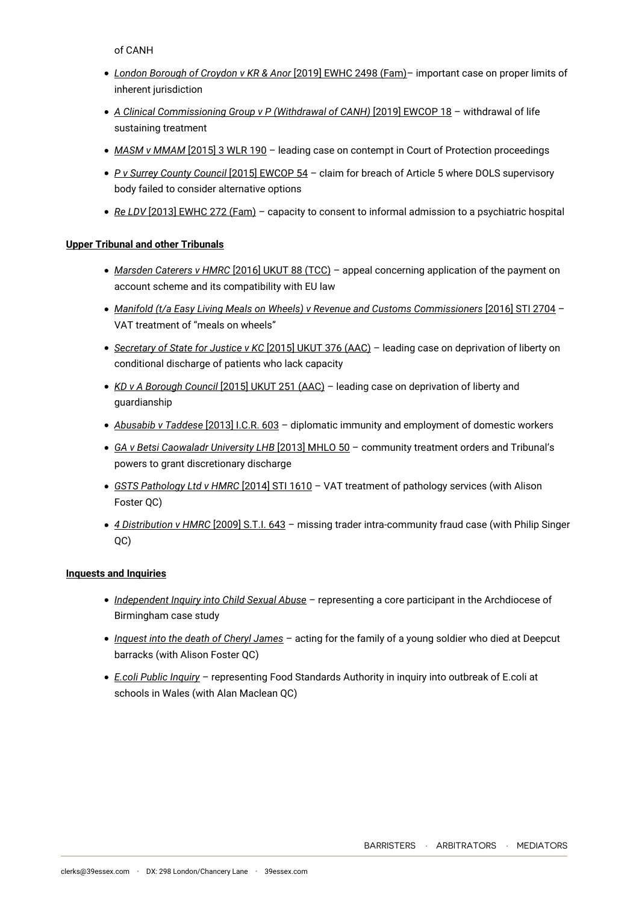of CANH

- *London Borough of Croydon v KR & Anor* [2019] EWHC 2498 (Fam)– important case on proper limits of inherent jurisdiction
- *A Clinical Commissioning Group v P (Withdrawal of CANH)* [2019] EWCOP 18 withdrawal of life sustaining treatment
- *MASM v MMAM* [2015] 3 WLR 190 leading case on contempt in Court of Protection proceedings
- *P v Surrey County Council* [2015] EWCOP 54 claim for breach of Article 5 where DOLS supervisory body failed to consider alternative options
- *Re LDV* [2013] EWHC 272 (Fam) capacity to consent to informal admission to a psychiatric hospital

#### **Upper Tribunal and other Tribunals**

- *Marsden Caterers v HMRC* [2016] UKUT 88 (TCC) appeal concerning application of the payment on account scheme and its compatibility with EU law
- *Manifold (t/a Easy Living Meals on Wheels) v Revenue and Customs Commissioners* [2016] STI 2704 VAT treatment of "meals on wheels"
- *Secretary of State for Justice v KC* [2015] UKUT 376 (AAC) leading case on deprivation of liberty on conditional discharge of patients who lack capacity
- *KD v A Borough Council* [2015] UKUT 251 (AAC) leading case on deprivation of liberty and guardianship
- *Abusabib v Taddese* [2013] I.C.R. 603 diplomatic immunity and employment of domestic workers
- *GA v Betsi Caowaladr University LHB* [2013] MHLO 50 community treatment orders and Tribunal's powers to grant discretionary discharge
- *GSTS Pathology Ltd v HMRC* [2014] STI 1610 VAT treatment of pathology services (with Alison Foster QC)
- *4 Distribution v HMRC* [2009] S.T.I. 643 missing trader intra-community fraud case (with Philip Singer QC)

#### **Inquests and Inquiries**

- *Independent Inquiry into Child Sexual Abuse* representing a core participant in the Archdiocese of Birmingham case study
- *Inquest into the death of Cheryl James* acting for the family of a young soldier who died at Deepcut barracks (with Alison Foster QC)
- *E.coli Public Inquiry* representing Food Standards Authority in inquiry into outbreak of E.coli at schools in Wales (with Alan Maclean QC)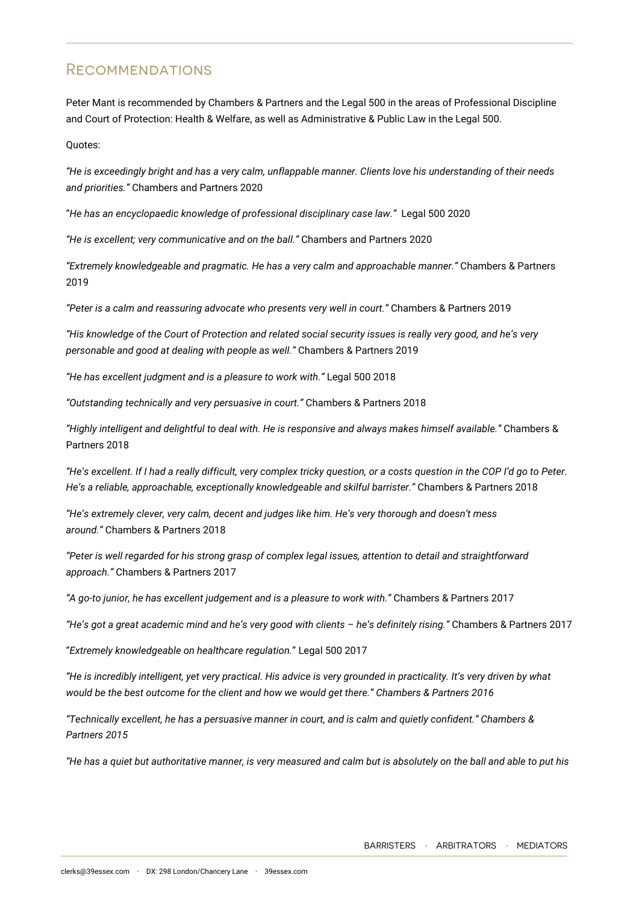# **RECOMMENDATIONS**

Peter Mant is recommended by Chambers & Partners and the Legal 500 in the areas of Professional Discipline and Court of Protection: Health & Welfare, as well as Administrative & Public Law in the Legal 500.

Quotes:

*"He is exceedingly bright and has a very calm, unflappable manner. Clients love his understanding of their needs and priorities."* Chambers and Partners 2020

"*He has an encyclopaedic knowledge of professional disciplinary case law."* Legal 500 2020

*"He is excellent; very communicative and on the ball."* Chambers and Partners 2020

*"Extremely knowledgeable and pragmatic. He has a very calm and approachable manner."* Chambers & Partners 2019

*"Peter is a calm and reassuring advocate who presents very well in court."* Chambers & Partners 2019

*"His knowledge of the Court of Protection and related social security issues is really very good, and he's very personable and good at dealing with people as well."* Chambers & Partners 2019

*"He has excellent judgment and is a pleasure to work with."* Legal 500 2018

*"Outstanding technically and very persuasive in court."* Chambers & Partners 2018

*"Highly intelligent and delightful to deal with. He is responsive and always makes himself available."* Chambers & Partners 2018

*"He's excellent. If I had a really difficult, very complex tricky question, or a costs question in the COP I'd go to Peter. He's a reliable, approachable, exceptionally knowledgeable and skilful barrister."* Chambers & Partners 2018

*"He's extremely clever, very calm, decent and judges like him. He's very thorough and doesn't mess around."* Chambers & Partners 2018

*"Peter is well regarded for his strong grasp of complex legal issues, attention to detail and straightforward approach."* Chambers & Partners 2017

*"A go-to junior, he has excellent judgement and is a pleasure to work with."* Chambers & Partners 2017

*"He's got a great academic mind and he's very good with clients – he's definitely rising."* Chambers & Partners 2017

"*Extremely knowledgeable on healthcare regulation.*" Legal 500 2017

*"He is incredibly intelligent, yet very practical. His advice is very grounded in practicality. It's very driven by what would be the best outcome for the client and how we would get there." Chambers & Partners 2016*

*"Technically excellent, he has a persuasive manner in court, and is calm and quietly confident." Chambers & Partners 2015*

*"He has a quiet but authoritative manner, is very measured and calm but is absolutely on the ball and able to put his*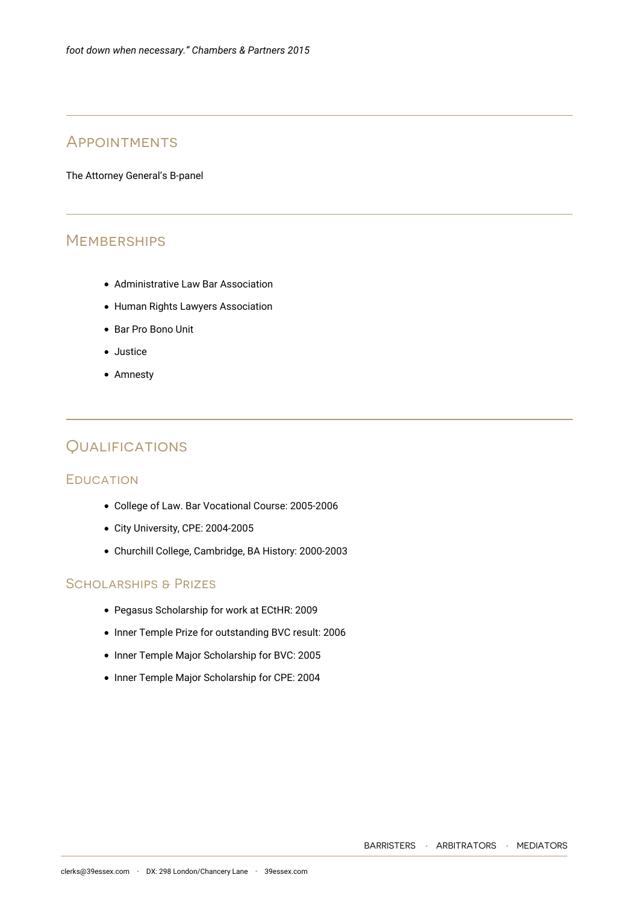# **APPOINTMENTS**

The Attorney General's B-panel

# **MEMBERSHIPS**

- Administrative Law Bar Association
- Human Rights Lawyers Association
- Bar Pro Bono Unit
- Justice
- Amnesty

# **QUALIFICATIONS**

#### **EDUCATION**

- College of Law. Bar Vocational Course: 2005-2006
- City University, CPE: 2004-2005
- Churchill College, Cambridge, BA History: 2000-2003

### Scholarships & Prizes

- Pegasus Scholarship for work at ECtHR: 2009
- Inner Temple Prize for outstanding BVC result: 2006
- Inner Temple Major Scholarship for BVC: 2005
- Inner Temple Major Scholarship for CPE: 2004